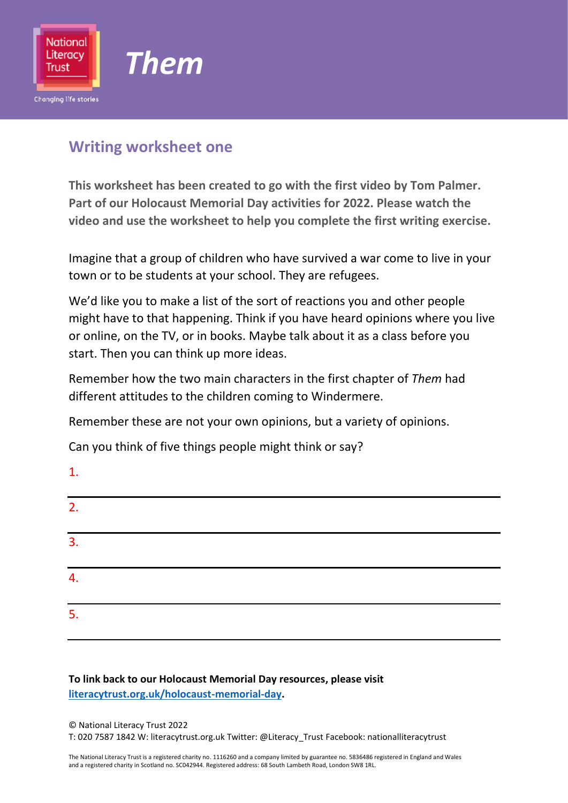

### **Writing worksheet one**

**This worksheet has been created to go with the first video by Tom Palmer. Part of our Holocaust Memorial Day activities for 2022. Please watch the video and use the worksheet to help you complete the first writing exercise.** 

Imagine that a group of children who have survived a war come to live in your town or to be students at your school. They are refugees.

We'd like you to make a list of the sort of reactions you and other people might have to that happening. Think if you have heard opinions where you live or online, on the TV, or in books. Maybe talk about it as a class before you start. Then you can think up more ideas.

Remember how the two main characters in the first chapter of *Them* had different attitudes to the children coming to Windermere.

Remember these are not your own opinions, but a variety of opinions.

Can you think of five things people might think or say?

| $\mathbf{1}$ . |  |  |  |
|----------------|--|--|--|
| 2.             |  |  |  |
| 3.             |  |  |  |
| 4.             |  |  |  |
| 5.             |  |  |  |

### **To link back to our Holocaust Memorial Day resources, please visit [literacytrust.org.uk/holocaust-memorial-day.](https://literacytrust.org.uk/holocaust-memorial-day)**

#### © National Literacy Trust 2022 T: 020 7587 1842 W: literacytrust.org.uk Twitter: @Literacy\_Trust Facebook: nationalliteracytrust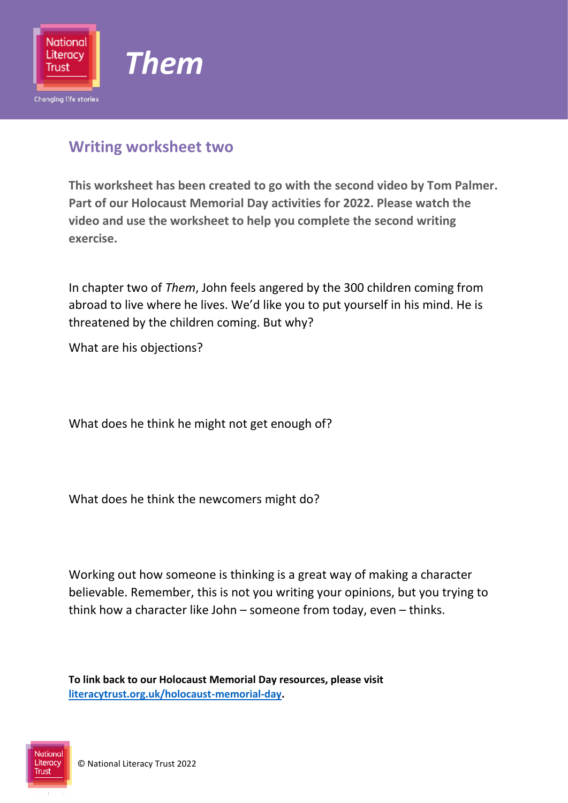

### **Writing worksheet two**

**This worksheet has been created to go with the second video by Tom Palmer. Part of our Holocaust Memorial Day activities for 2022. Please watch the video and use the worksheet to help you complete the second writing exercise.** 

In chapter two of *Them*, John feels angered by the 300 children coming from abroad to live where he lives. We'd like you to put yourself in his mind. He is threatened by the children coming. But why?

What are his objections?

What does he think he might not get enough of?

What does he think the newcomers might do?

Working out how someone is thinking is a great way of making a character believable. Remember, this is not you writing your opinions, but you trying to think how a character like John – someone from today, even – thinks.

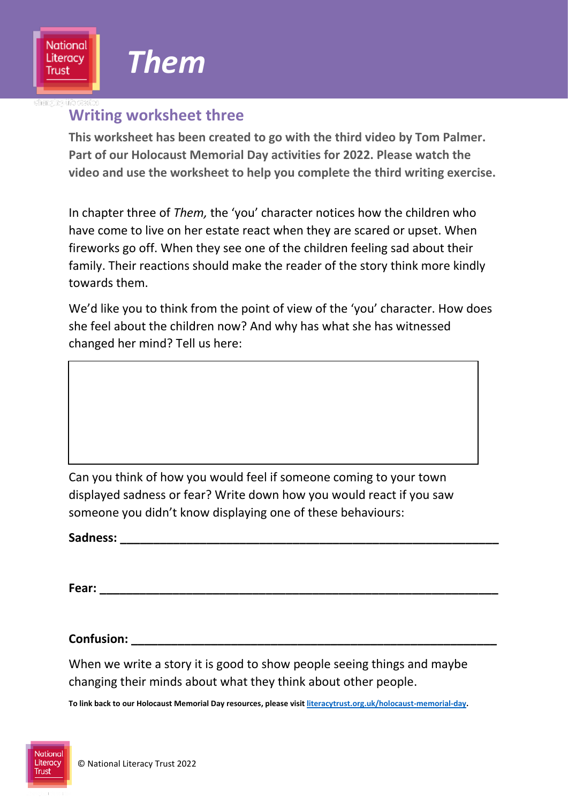### **Writing worksheet three**

**This worksheet has been created to go with the third video by Tom Palmer. Part of our Holocaust Memorial Day activities for 2022. Please watch the video and use the worksheet to help you complete the third writing exercise.** 

In chapter three of *Them,* the 'you' character notices how the children who have come to live on her estate react when they are scared or upset. When fireworks go off. When they see one of the children feeling sad about their family. Their reactions should make the reader of the story think more kindly towards them.

We'd like you to think from the point of view of the 'you' character. How does she feel about the children now? And why has what she has witnessed changed her mind? Tell us here:

Can you think of how you would feel if someone coming to your town displayed sadness or fear? Write down how you would react if you saw someone you didn't know displaying one of these behaviours:

Sadness: <u>**Sadness:**</u>

**Fear: \_\_\_\_\_\_\_\_\_\_\_\_\_\_\_\_\_\_\_\_\_\_\_\_\_\_\_\_\_\_\_\_\_\_\_\_\_\_\_\_\_\_\_\_\_\_\_\_\_\_\_\_\_\_\_\_\_\_\_\_**

**Confusion: \_\_\_\_\_\_\_\_\_\_\_\_\_\_\_\_\_\_\_\_\_\_\_\_\_\_\_\_\_\_\_\_\_\_\_\_\_\_\_\_\_\_\_\_\_\_\_\_\_\_\_\_\_\_\_**

When we write a story it is good to show people seeing things and maybe changing their minds about what they think about other people.

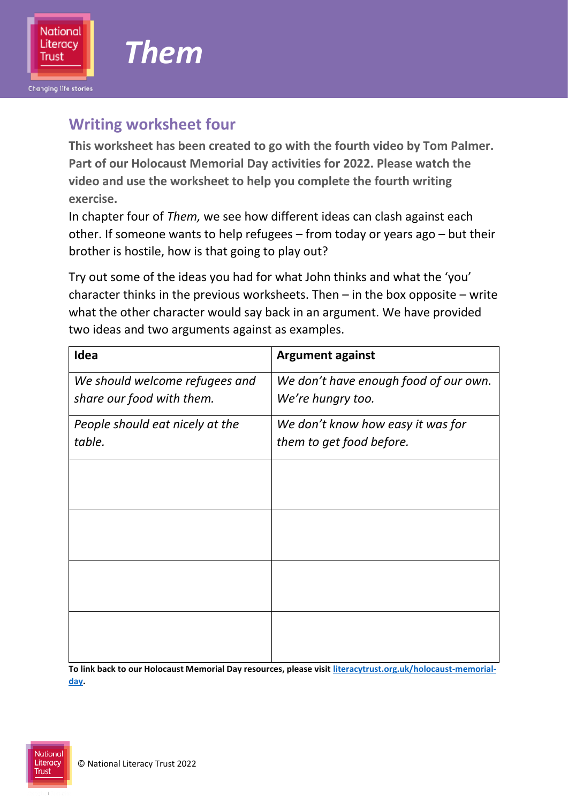**Changing life stories** 

## **Writing worksheet four**

**This worksheet has been created to go with the fourth video by Tom Palmer. Part of our Holocaust Memorial Day activities for 2022. Please watch the video and use the worksheet to help you complete the fourth writing exercise.** 

In chapter four of *Them,* we see how different ideas can clash against each other. If someone wants to help refugees – from today or years ago – but their brother is hostile, how is that going to play out?

Try out some of the ideas you had for what John thinks and what the 'you' character thinks in the previous worksheets. Then – in the box opposite – write what the other character would say back in an argument. We have provided two ideas and two arguments against as examples.

| Idea                            | <b>Argument against</b>               |  |  |
|---------------------------------|---------------------------------------|--|--|
| We should welcome refugees and  | We don't have enough food of our own. |  |  |
| share our food with them.       | We're hungry too.                     |  |  |
| People should eat nicely at the | We don't know how easy it was for     |  |  |
| table.                          | them to get food before.              |  |  |
|                                 |                                       |  |  |
|                                 |                                       |  |  |
|                                 |                                       |  |  |
|                                 |                                       |  |  |
|                                 |                                       |  |  |
|                                 |                                       |  |  |
|                                 |                                       |  |  |
|                                 |                                       |  |  |